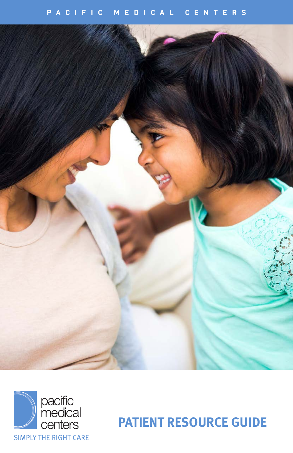## **PACIFIC MEDICAL CENTERS**





**PATIENT RESOURCE GUIDE**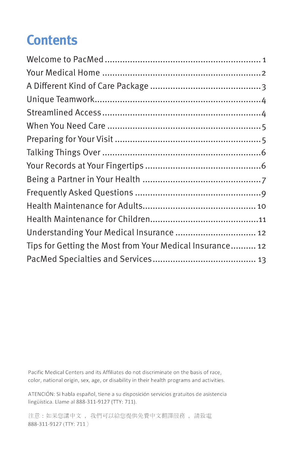# **Contents**

| Understanding Your Medical Insurance  12                 |
|----------------------------------------------------------|
| Tips for Getting the Most from Your Medical Insurance 12 |
|                                                          |
|                                                          |

Pacific Medical Centers and its Affiliates do not discriminate on the basis of race, color, national origin, sex, age, or disability in their health programs and activities.

ATENCIÓN: Si habla español, tiene a su disposición servicios gratuitos de asistencia lingüística. Llame al 888-311-9127 (TTY: 711).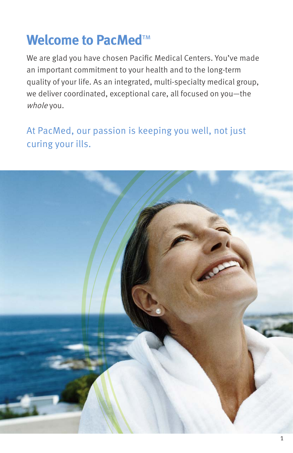# **Welcome to PacMed™**

We are glad you have chosen Pacific Medical Centers. You've made an important commitment to your health and to the long-term quality of your life. As an integrated, multi-specialty medical group, we deliver coordinated, exceptional care, all focused on you—the whole you.

## At PacMed, our passion is keeping you well, not just curing your ills.

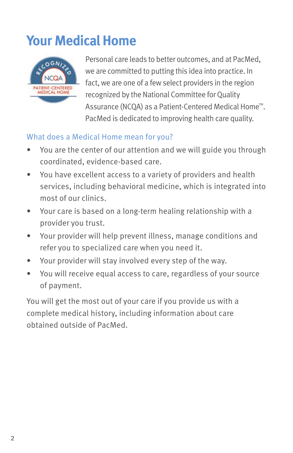# **Your Medical Home**



Personal care leads to better outcomes, and at PacMed, we are committed to putting this idea into practice. In fact, we are one of a few select providers in the region recognized by the National Committee for Quality Assurance (NCQA) as a Patient-Centered Medical Home™. PacMed is dedicated to improving health care quality.

## What does a Medical Home mean for you?

- You are the center of our attention and we will guide you through coordinated, evidence-based care.
- You have excellent access to a variety of providers and health services, including behavioral medicine, which is integrated into most of our clinics.
- Your care is based on a long-term healing relationship with a provider you trust.
- Your provider will help prevent illness, manage conditions and refer you to specialized care when you need it.
- Your provider will stay involved every step of the way.
- You will receive equal access to care, regardless of your source of payment.

You will get the most out of your care if you provide us with a complete medical history, including information about care obtained outside of PacMed.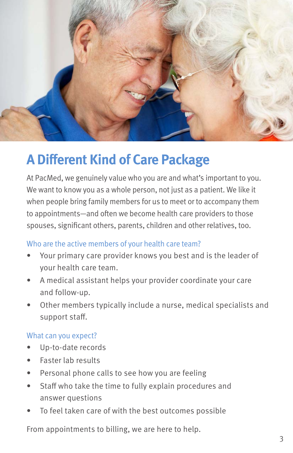

# **A Different Kind of Care Package**

At PacMed, we genuinely value who you are and what's important to you. We want to know you as a whole person, not just as a patient. We like it when people bring family members for us to meet or to accompany them to appointments—and often we become health care providers to those spouses, significant others, parents, children and other relatives, too.

### Who are the active members of your health care team?

- Your primary care provider knows you best and is the leader of your health care team.
- A medical assistant helps your provider coordinate your care and follow-up.
- Other members typically include a nurse, medical specialists and support staff.

### What can you expect?

- Up-to-date records
- Faster lab results
- Personal phone calls to see how you are feeling
- Staff who take the time to fully explain procedures and answer questions
- To feel taken care of with the best outcomes possible

From appointments to billing, we are here to help.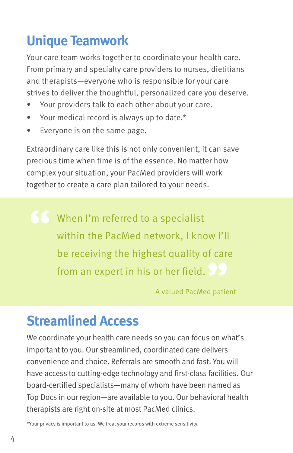# **Unique Teamwork**

Your care team works together to coordinate your health care. From primary and specialty care providers to nurses, dietitians and therapists—everyone who is responsible for your care strives to deliver the thoughtful, personalized care you deserve.

- Your providers talk to each other about your care.
- Your medical record is always up to date.\*
- Everyone is on the same page.

Extraordinary care like this is not only convenient, it can save precious time when time is of the essence. No matter how complex your situation, your PacMed providers will work together to create a care plan tailored to your needs.

When I'm referred to a specialist within the PacMed network, I know I'll be receiving the highest quality of care from an expert in his or her field.

–A valued PacMed patient

## **Streamlined Access**

We coordinate your health care needs so you can focus on what's important to you. Our streamlined, coordinated care delivers convenience and choice. Referrals are smooth and fast. You will have access to cutting-edge technology and first-class facilities. Our board-certified specialists—many of whom have been named as Top Docs in our region—are available to you. Our behavioral health therapists are right on-site at most PacMed clinics.

\*Your privacy is important to us. We treat your records with extreme sensitivity.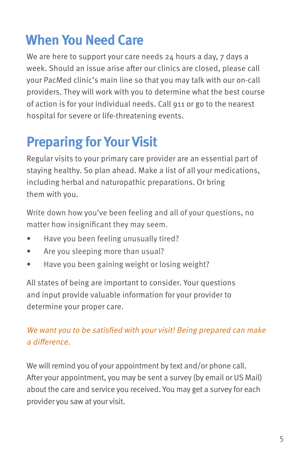# **When You Need Care**

We are here to support your care needs 24 hours a day, 7 days a week. Should an issue arise after our clinics are closed, please call your PacMed clinic's main line so that you may talk with our on-call providers. They will work with you to determine what the best course of action is for your individual needs. Call 911 or go to the nearest hospital for severe or life-threatening events.

# **Preparing for Your Visit**

Regular visits to your primary care provider are an essential part of staying healthy. So plan ahead. Make a list of all your medications, including herbal and naturopathic preparations. Or bring them with you.

Write down how you've been feeling and all of your questions, no matter how insignificant they may seem.

- Have you been feeling unusually tired?
- Are you sleeping more than usual?
- Have you been gaining weight or losing weight?

All states of being are important to consider. Your questions and input provide valuable information for your provider to determine your proper care.

## We want you to be satisfied with your visit! Being prepared can make a difference.

We will remind you of your appointment by text and/or phone call. After your appointment, you may be sent a survey (by email or US Mail) about the care and service you received. You may get a survey for each provider you saw at your visit.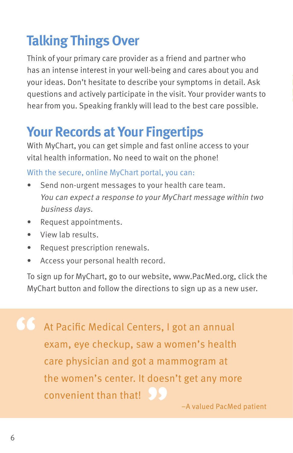# **Talking Things Over**

Think of your primary care provider as a friend and partner who has an intense interest in your well-being and cares about you and your ideas. Don't hesitate to describe your symptoms in detail. Ask questions and actively participate in the visit. Your provider wants to hear from you. Speaking frankly will lead to the best care possible.

# **Your Records at Your Fingertips**

With MyChart, you can get simple and fast online access to your vital health information. No need to wait on the phone!

## With the secure, online MyChart portal, you can:

- Send non-urgent messages to your health care team. You can expect a response to your MyChart message within two business days.
- Request appointments.
- View lab results.
- Request prescription renewals.
- Access your personal health record.

To sign up for MyChart, go to our website, www.PacMed.org, click the MyChart button and follow the directions to sign up as a new user.

At Pacific Medical Centers, I got an annual exam, eye checkup, saw a women's health care physician and got a mammogram at the women's center. It doesn't get any more convenient than that!

–A valued PacMed patient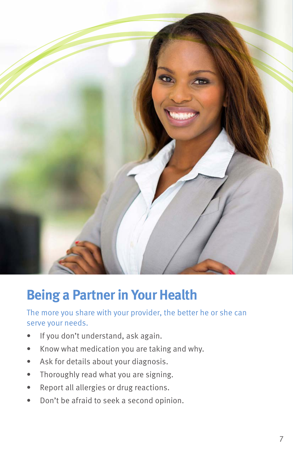

## **Being a Partner in Your Health**

## The more you share with your provider, the better he or she can serve your needs.

- If you don't understand, ask again.
- Know what medication you are taking and why.
- Ask for details about your diagnosis.
- Thoroughly read what you are signing.
- Report all allergies or drug reactions.
- Don't be afraid to seek a second opinion.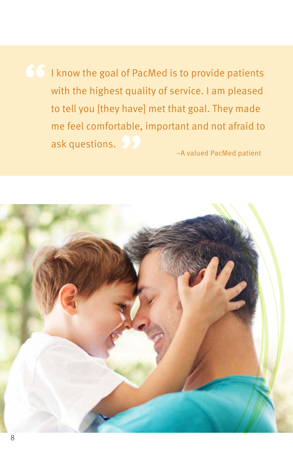I know the goal of PacMed is to provide patients with the highest quality of service. I am pleased to tell you [they have] met that goal. They made me feel comfortable, important and not afraid to ask questions.

–A valued PacMed patient

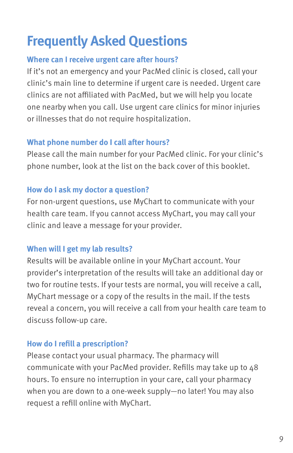# **Frequently Asked Questions**

### **Where can I receive urgent care after hours?**

If it's not an emergency and your PacMed clinic is closed, call your clinic's main line to determine if urgent care is needed. Urgent care clinics are not affiliated with PacMed, but we will help you locate one nearby when you call. Use urgent care clinics for minor injuries or illnesses that do not require hospitalization.

### **What phone number do I call after hours?**

Please call the main number for your PacMed clinic. For your clinic's phone number, look at the list on the back cover of this booklet.

### **How do I ask my doctor a question?**

For non-urgent questions, use MyChart to communicate with your health care team. If you cannot access MyChart, you may call your clinic and leave a message for your provider.

### **When will I get my lab results?**

Results will be available online in your MyChart account. Your provider's interpretation of the results will take an additional day or two for routine tests. If your tests are normal, you will receive a call, MyChart message or a copy of the results in the mail. If the tests reveal a concern, you will receive a call from your health care team to discuss follow-up care.

### **How do I refill a prescription?**

Please contact your usual pharmacy. The pharmacy will communicate with your PacMed provider. Refills may take up to 48 hours. To ensure no interruption in your care, call your pharmacy when you are down to a one-week supply—no later! You may also request a refill online with MyChart.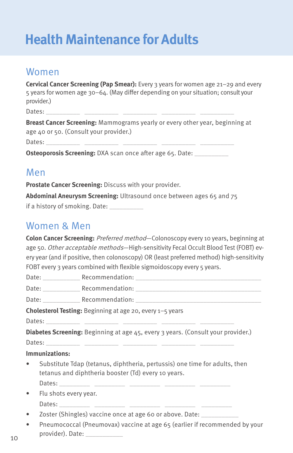# **Health Maintenance for Adults**

## Women

| <b>Cervical Cancer Screening (Pap Smear):</b> Every 3 years for women age $21-29$ and every |  |  |  |  |
|---------------------------------------------------------------------------------------------|--|--|--|--|
| 5 years for women age 30-64. (May differ depending on your situation; consult your          |  |  |  |  |
| provider.)                                                                                  |  |  |  |  |
| Dates:                                                                                      |  |  |  |  |

**Breast Cancer Screening:** Mammograms yearly or every other year, beginning at age 40 or 50. (Consult your provider.)

Dates: \_\_\_\_\_\_\_\_\_\_ \_\_\_\_\_\_\_\_\_\_ \_\_\_\_\_\_\_\_\_\_ \_\_\_\_\_\_\_\_\_\_ \_\_\_\_\_\_\_\_\_\_

**Osteoporosis Screening: DXA scan once after age 65. Date: \_\_\_\_\_\_\_\_\_** 

## Men

**Prostate Cancer Screening:** Discuss with your provider.

**Abdominal Aneurysm Screening:** Ultrasound once between ages 65 and 75

if a history of smoking. Date:

## Women & Men

**Colon Cancer Screening:** Preferred method—Colonoscopy every 10 years, beginning at age 50. Other acceptable methods-High-sensitivity Fecal Occult Blood Test (FOBT) every year (and if positive, then colonoscopy) OR (least preferred method) high-sensitivity FOBT every 3 years combined with flexible sigmoidoscopy every 5 years.

|                                                                                                                                   | Date: Recommendation: Recommendation:                    |  |  |  |
|-----------------------------------------------------------------------------------------------------------------------------------|----------------------------------------------------------|--|--|--|
|                                                                                                                                   | Date: Recommendation: Recommendation:                    |  |  |  |
|                                                                                                                                   |                                                          |  |  |  |
| Cholesterol Testing: Beginning at age 20, every 1-5 years                                                                         |                                                          |  |  |  |
|                                                                                                                                   |                                                          |  |  |  |
| <b>Diabetes Screening:</b> Beginning at age 45, every 3 years. (Consult your provider.)                                           |                                                          |  |  |  |
|                                                                                                                                   |                                                          |  |  |  |
| Immunizations:                                                                                                                    |                                                          |  |  |  |
| Substitute Tdap (tetanus, diphtheria, pertussis) one time for adults, then<br>tetanus and diphtheria booster (Td) every 10 years. |                                                          |  |  |  |
|                                                                                                                                   |                                                          |  |  |  |
| Flu shots every year.                                                                                                             |                                                          |  |  |  |
|                                                                                                                                   |                                                          |  |  |  |
|                                                                                                                                   | Zoster (Shingles) vaccine once at age 60 or above. Date: |  |  |  |

• Pneumococcal (Pneumovax) vaccine at age 65 (earlier if recommended by your provider). Date: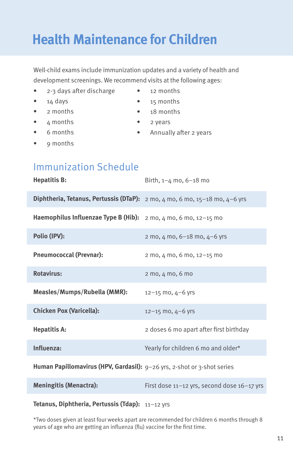# **Health Maintenance for Children**

Well-child exams include immunization updates and a variety of health and development screenings. We recommend visits at the following ages:

- 2-3 days after discharge
- $\bullet$  14 days
- 2 months
- 4 months
- 6 months
- 9 months
- 12 months
- 15 months
- 18 months
- 2 years
- Annually after 2 years
- Immunization Schedule

| <b>Hepatitis B:</b>                                                     | Birth, $1-4$ mo, $6-18$ mo                                       |
|-------------------------------------------------------------------------|------------------------------------------------------------------|
| Diphtheria, Tetanus, Pertussis (DTaP):                                  | 2 mo, 4 mo, 6 mo, 15-18 mo, 4-6 yrs                              |
| Haemophilus Influenzae Type B (Hib):                                    | 2 mo, 4 mo, 6 mo, 12-15 mo                                       |
| Polio (IPV):                                                            | 2 mo, $4 \text{ mo}$ , $6 - 18 \text{ mo}$ , $4 - 6 \text{ yrs}$ |
| <b>Pneumococcal (Prevnar):</b>                                          | 2 mo, 4 mo, 6 mo, 12-15 mo                                       |
| <b>Rotavirus:</b>                                                       | 2 mo, 4 mo, 6 mo                                                 |
| Measles/Mumps/Rubella (MMR):                                            | $12 - 15$ mo, $4 - 6$ yrs                                        |
| <b>Chicken Pox (Varicella):</b>                                         | $12 - 15$ mo, $4 - 6$ yrs                                        |
| <b>Hepatitis A:</b>                                                     | 2 doses 6 mo apart after first birthday                          |
| Influenza:                                                              | Yearly for children 6 mo and older*                              |
| Human Papillomavirus (HPV, Gardasil): 9-26 yrs, 2-shot or 3-shot series |                                                                  |
| <b>Meningitis (Menactra):</b>                                           | First dose 11-12 yrs, second dose 16-17 yrs                      |
|                                                                         |                                                                  |

### **Tetanus, Diphtheria, Pertussis (Tdap):** 11–12 yrs

\*Two doses given at least four weeks apart are recommended for children 6 months through 8 years of age who are getting an influenza (flu) vaccine for the first time.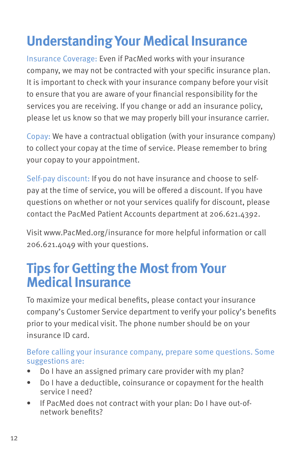# **Understanding Your Medical Insurance**

Insurance Coverage: Even if PacMed works with your insurance company, we may not be contracted with your specific insurance plan. It is important to check with your insurance company before your visit to ensure that you are aware of your financial responsibility for the services you are receiving. If you change or add an insurance policy, please let us know so that we may properly bill your insurance carrier.

Copay: We have a contractual obligation (with your insurance company) to collect your copay at the time of service. Please remember to bring your copay to your appointment.

Self-pay discount: If you do not have insurance and choose to selfpay at the time of service, you will be offered a discount. If you have questions on whether or not your services qualify for discount, please contact the PacMed Patient Accounts department at 206.621.4392.

Visit www.PacMed.org/insurance for more helpful information or call 206.621.4049 with your questions.

## **Tips for Getting the Most from Your Medical Insurance**

To maximize your medical benefits, please contact your insurance company's Customer Service department to verify your policy's benefits prior to your medical visit. The phone number should be on your insurance ID card.

### Before calling your insurance company, prepare some questions. Some suggestions are:

- Do I have an assigned primary care provider with my plan?
- Do I have a deductible, coinsurance or copayment for the health service I need?
- If PacMed does not contract with your plan: Do I have out-ofnetwork benefits?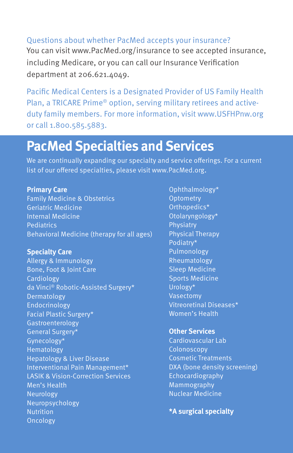### Questions about whether PacMed accepts your insurance?

You can visit www.PacMed.org/insurance to see accepted insurance, including Medicare, or you can call our Insurance Verification department at 206.621.4049.

Pacific Medical Centers is a Designated Provider of US Family Health Plan, a TRICARE Prime® option, serving military retirees and activeduty family members. For more information, visit www.USFHPnw.org or call 1.800.585.5883.

## **PacMed Specialties and Services**

We are continually expanding our specialty and service offerings. For a current list of our offered specialties, please visit www.PacMed.org.

#### **Primary Care**

Family Medicine & Obstetrics Geriatric Medicine Internal Medicine **Pediatrics** Behavioral Medicine (therapy for all ages)

### **Specialty Care**

Allergy & Immunology Bone, Foot & Joint Care **Cardiology** da Vinci® Robotic-Assisted Surgery\* Dermatology Endocrinology Facial Plastic Surgery\* Gastroenterology General Surgery\* Gynecology\* Hematology Hepatology & Liver Disease Interventional Pain Management\* LASIK & Vision-Correction Services Men's Health Neurology Neuropsychology **Nutrition** Oncology

Ophthalmology\* **Optometry** Orthopedics\* Otolaryngology\* **Physiatry** Physical Therapy Podiatry\* Pulmonology Rheumatology Sleep Medicine Sports Medicine Urology\* **Vasectomy** Vitreoretinal Diseases\* Women's Health

### **Other Services**

Cardiovascular Lab **Colonoscopy** Cosmetic Treatments DXA (bone density screening) Echocardiography Mammography Nuclear Medicine

**\*A surgical specialty**